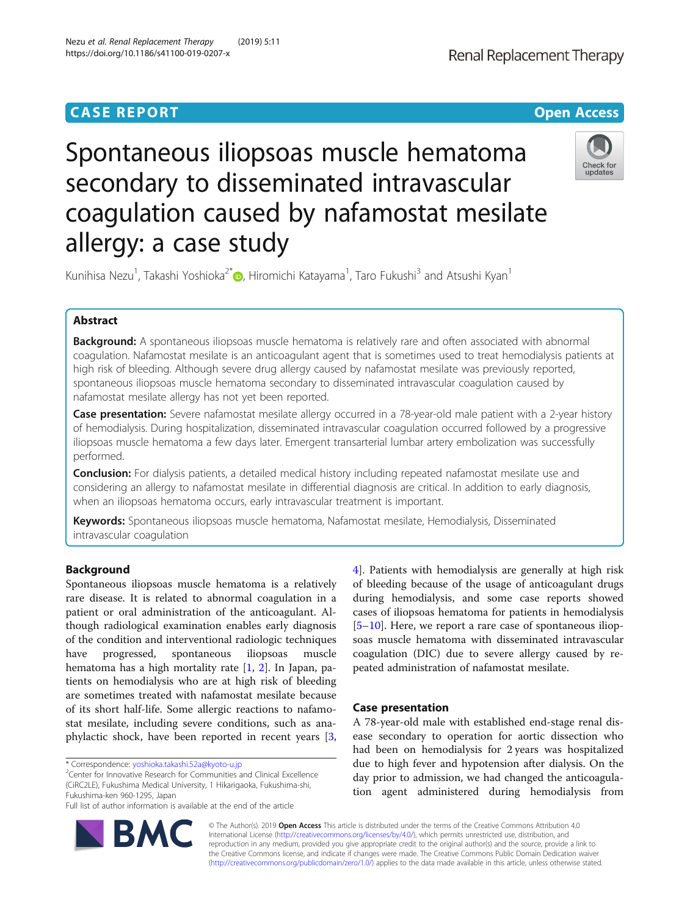# Spontaneous iliopsoas muscle hematoma secondary to disseminated intravascular coagulation caused by nafamostat mesilate allergy: a case study



Kunihisa Nezu<sup>1</sup>[,](http://orcid.org/0000-0001-7709-8278) Takashi Yoshioka<sup>2\*</sup>. Hiromichi Katayama<sup>1</sup>, Taro Fukushi<sup>3</sup> and Atsushi Kyan<sup>1</sup>

## Abstract

Background: A spontaneous iliopsoas muscle hematoma is relatively rare and often associated with abnormal coagulation. Nafamostat mesilate is an anticoagulant agent that is sometimes used to treat hemodialysis patients at high risk of bleeding. Although severe drug allergy caused by nafamostat mesilate was previously reported, spontaneous iliopsoas muscle hematoma secondary to disseminated intravascular coagulation caused by nafamostat mesilate allergy has not yet been reported.

Case presentation: Severe nafamostat mesilate allergy occurred in a 78-year-old male patient with a 2-year history of hemodialysis. During hospitalization, disseminated intravascular coagulation occurred followed by a progressive iliopsoas muscle hematoma a few days later. Emergent transarterial lumbar artery embolization was successfully performed.

Conclusion: For dialysis patients, a detailed medical history including repeated nafamostat mesilate use and considering an allergy to nafamostat mesilate in differential diagnosis are critical. In addition to early diagnosis, when an iliopsoas hematoma occurs, early intravascular treatment is important.

Keywords: Spontaneous iliopsoas muscle hematoma, Nafamostat mesilate, Hemodialysis, Disseminated intravascular coagulation

## Background

Spontaneous iliopsoas muscle hematoma is a relatively rare disease. It is related to abnormal coagulation in a patient or oral administration of the anticoagulant. Although radiological examination enables early diagnosis of the condition and interventional radiologic techniques have progressed, spontaneous iliopsoas muscle hematoma has a high mortality rate [[1,](#page-5-0) [2](#page-5-0)]. In Japan, patients on hemodialysis who are at high risk of bleeding are sometimes treated with nafamostat mesilate because of its short half-life. Some allergic reactions to nafamostat mesilate, including severe conditions, such as anaphylactic shock, have been reported in recent years [\[3](#page-5-0),

<sup>2</sup> Center for Innovative Research for Communities and Clinical Excellence (CiRC2LE), Fukushima Medical University, 1 Hikarigaoka, Fukushima-shi, Fukushima-ken 960-1295, Japan

Full list of author information is available at the end of the article



## Case presentation

A 78-year-old male with established end-stage renal disease secondary to operation for aortic dissection who had been on hemodialysis for 2 years was hospitalized due to high fever and hypotension after dialysis. On the day prior to admission, we had changed the anticoagulation agent administered during hemodialysis from



© The Author(s). 2019 Open Access This article is distributed under the terms of the Creative Commons Attribution 4.0 International License [\(http://creativecommons.org/licenses/by/4.0/](http://creativecommons.org/licenses/by/4.0/)), which permits unrestricted use, distribution, and reproduction in any medium, provided you give appropriate credit to the original author(s) and the source, provide a link to the Creative Commons license, and indicate if changes were made. The Creative Commons Public Domain Dedication waiver [\(http://creativecommons.org/publicdomain/zero/1.0/](http://creativecommons.org/publicdomain/zero/1.0/)) applies to the data made available in this article, unless otherwise stated.

<sup>\*</sup> Correspondence: [yoshioka.takashi.52a@kyoto-u.jp](mailto:yoshioka.takashi.52a@kyoto-u.jp) <sup>2</sup>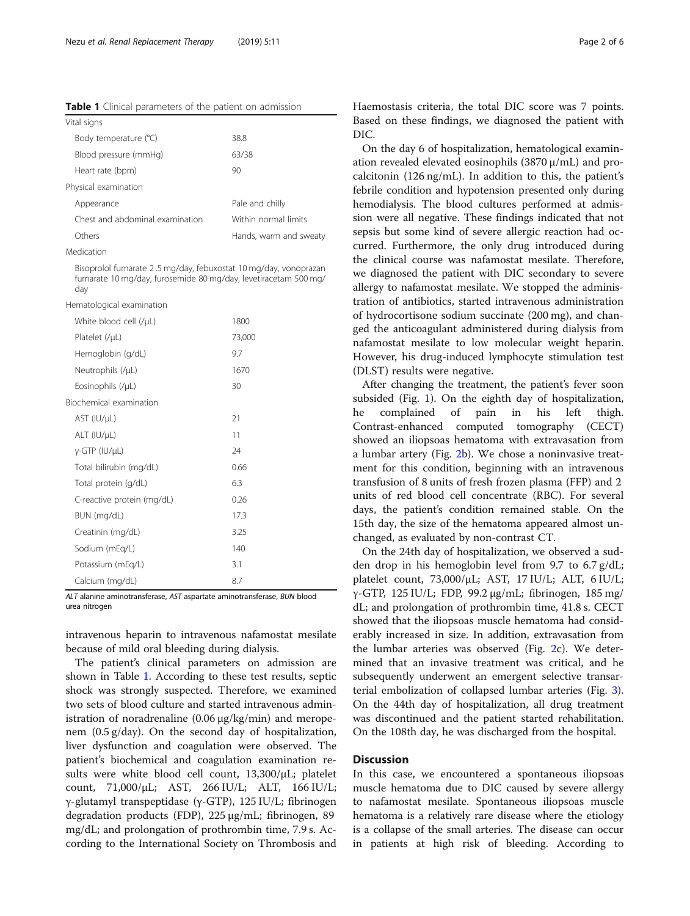Table 1 Clinical parameters of the patient on admission

| Vital signs                     |                        |  |  |  |  |  |
|---------------------------------|------------------------|--|--|--|--|--|
| Body temperature (°C)           | 38.8                   |  |  |  |  |  |
| Blood pressure (mmHg)           | 63/38                  |  |  |  |  |  |
| Heart rate (bpm)                | 90                     |  |  |  |  |  |
| Physical examination            |                        |  |  |  |  |  |
| Appearance                      | Pale and chilly        |  |  |  |  |  |
| Chest and abdominal examination | Within normal limits   |  |  |  |  |  |
| Others                          | Hands, warm and sweaty |  |  |  |  |  |

Medication

Bisoprolol fumarate 2 .5 mg/day, febuxostat 10 mg/day, vonoprazan fumarate 10 mg/day, furosemide 80 mg/day, levetiracetam 500 mg/ day

Hematological examination

| White blood cell (/µL)     | 1800   |
|----------------------------|--------|
| Platelet (/µL)             | 73,000 |
| Hemoglobin (g/dL)          | 9.7    |
| Neutrophils (/µL)          | 1670   |
| Eosinophils (/µL)          | 30     |
| Biochemical examination    |        |
| AST (IU/µL)                | 21     |
| $ALT$ (IU/ $\mu$ L)        | 11     |
| $y$ -GTP (IU/ $\mu$ L)     | 24     |
| Total bilirubin (mg/dL)    | 0.66   |
| Total protein (g/dL)       | 6.3    |
| C-reactive protein (mg/dL) | 0.26   |
| BUN (mg/dL)                | 17.3   |
| Creatinin (mg/dL)          | 3.25   |
| Sodium (mEg/L)             | 140    |
| Potassium (mEg/L)          | 3.1    |
| Calcium (mg/dL)            | 8.7    |
|                            |        |

ALT alanine aminotransferase, AST aspartate aminotransferase, BUN blood urea nitrogen

intravenous heparin to intravenous nafamostat mesilate because of mild oral bleeding during dialysis.

The patient's clinical parameters on admission are shown in Table 1. According to these test results, septic shock was strongly suspected. Therefore, we examined two sets of blood culture and started intravenous administration of noradrenaline (0.06 μg/kg/min) and meropenem (0.5 g/day). On the second day of hospitalization, liver dysfunction and coagulation were observed. The patient's biochemical and coagulation examination results were white blood cell count, 13,300/μL; platelet count, 71,000/μL; AST, 266 IU/L; ALT, 166 IU/L; γ-glutamyl transpeptidase (γ-GTP), 125 IU/L; fibrinogen degradation products (FDP), 225 μg/mL; fibrinogen, 89 mg/dL; and prolongation of prothrombin time, 7.9 s. According to the International Society on Thrombosis and Haemostasis criteria, the total DIC score was 7 points. Based on these findings, we diagnosed the patient with DIC.

On the day 6 of hospitalization, hematological examination revealed elevated eosinophils (3870 μ/mL) and procalcitonin (126 ng/mL). In addition to this, the patient's febrile condition and hypotension presented only during hemodialysis. The blood cultures performed at admission were all negative. These findings indicated that not sepsis but some kind of severe allergic reaction had occurred. Furthermore, the only drug introduced during the clinical course was nafamostat mesilate. Therefore, we diagnosed the patient with DIC secondary to severe allergy to nafamostat mesilate. We stopped the administration of antibiotics, started intravenous administration of hydrocortisone sodium succinate (200 mg), and changed the anticoagulant administered during dialysis from nafamostat mesilate to low molecular weight heparin. However, his drug-induced lymphocyte stimulation test (DLST) results were negative.

After changing the treatment, the patient's fever soon subsided (Fig. [1](#page-2-0)). On the eighth day of hospitalization, he complained of pain in his left thigh. Contrast-enhanced computed tomography (CECT) showed an iliopsoas hematoma with extravasation from a lumbar artery (Fig. [2b](#page-2-0)). We chose a noninvasive treatment for this condition, beginning with an intravenous transfusion of 8 units of fresh frozen plasma (FFP) and 2 units of red blood cell concentrate (RBC). For several days, the patient's condition remained stable. On the 15th day, the size of the hematoma appeared almost unchanged, as evaluated by non-contrast CT.

On the 24th day of hospitalization, we observed a sudden drop in his hemoglobin level from 9.7 to 6.7 g/dL; platelet count, 73,000/μL; AST, 17 IU/L; ALT, 6 IU/L; γ-GTP, 125 IU/L; FDP, 99.2 μg/mL; fibrinogen, 185 mg/ dL; and prolongation of prothrombin time, 41.8 s. CECT showed that the iliopsoas muscle hematoma had considerably increased in size. In addition, extravasation from the lumbar arteries was observed (Fig. [2c](#page-2-0)). We determined that an invasive treatment was critical, and he subsequently underwent an emergent selective transarterial embolization of collapsed lumbar arteries (Fig. [3](#page-3-0)). On the 44th day of hospitalization, all drug treatment was discontinued and the patient started rehabilitation. On the 108th day, he was discharged from the hospital.

## **Discussion**

In this case, we encountered a spontaneous iliopsoas muscle hematoma due to DIC caused by severe allergy to nafamostat mesilate. Spontaneous iliopsoas muscle hematoma is a relatively rare disease where the etiology is a collapse of the small arteries. The disease can occur in patients at high risk of bleeding. According to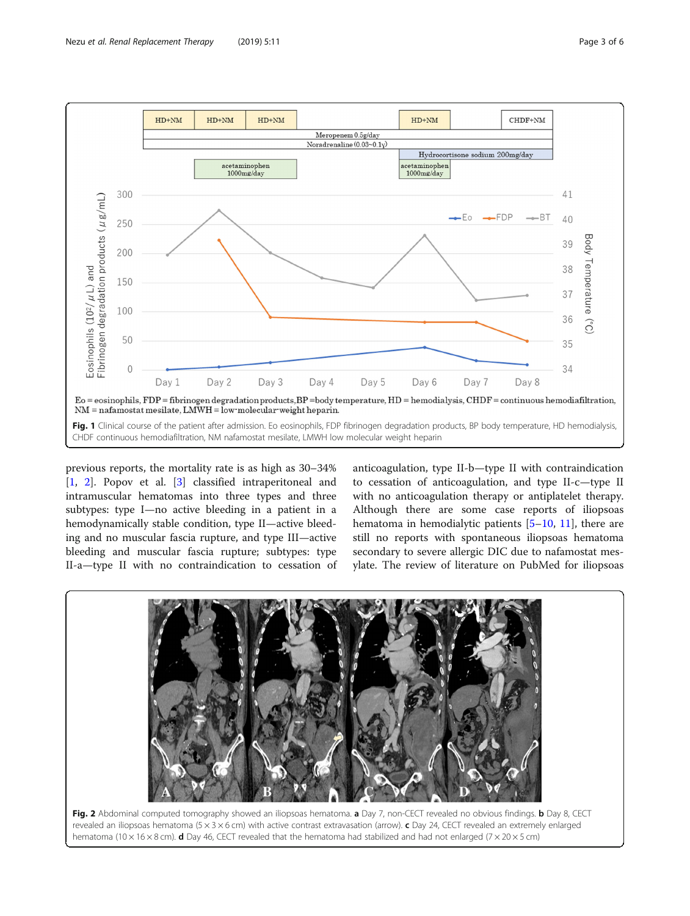<span id="page-2-0"></span>

previous reports, the mortality rate is as high as 30–34% [[1,](#page-5-0) [2\]](#page-5-0). Popov et al. [[3](#page-5-0)] classified intraperitoneal and intramuscular hematomas into three types and three subtypes: type I—no active bleeding in a patient in a hemodynamically stable condition, type II—active bleeding and no muscular fascia rupture, and type III—active bleeding and muscular fascia rupture; subtypes: type II-a—type II with no contraindication to cessation of anticoagulation, type II-b—type II with contraindication to cessation of anticoagulation, and type II-c—type II with no anticoagulation therapy or antiplatelet therapy. Although there are some case reports of iliopsoas hematoma in hemodialytic patients [\[5](#page-5-0)–[10,](#page-5-0) [11](#page-5-0)], there are still no reports with spontaneous iliopsoas hematoma secondary to severe allergic DIC due to nafamostat mesylate. The review of literature on PubMed for iliopsoas

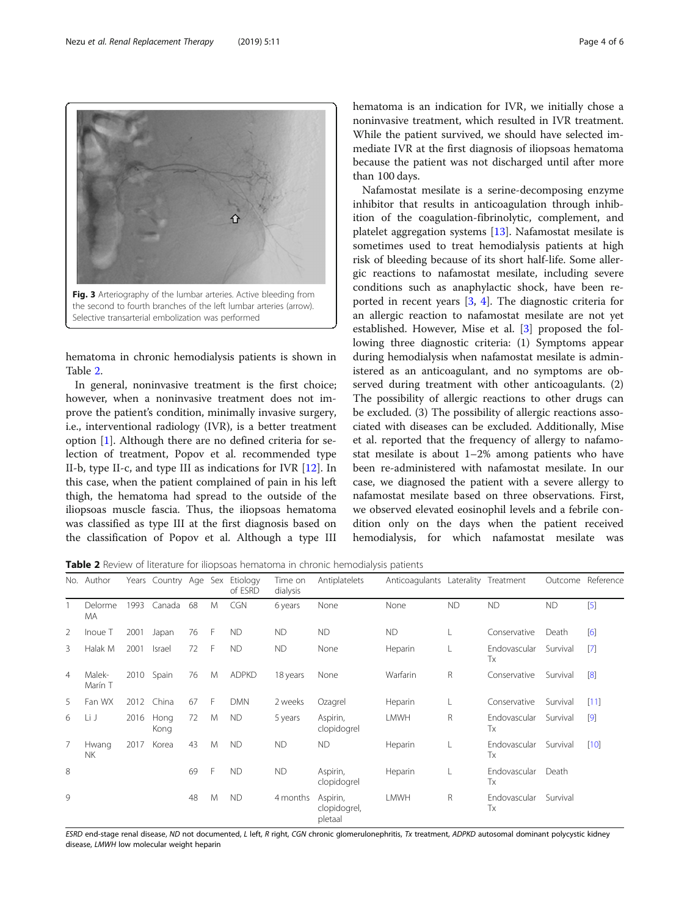hematoma in chronic hemodialysis patients is shown in Table 2.

In general, noninvasive treatment is the first choice; however, when a noninvasive treatment does not improve the patient's condition, minimally invasive surgery, i.e., interventional radiology (IVR), is a better treatment option [[1\]](#page-5-0). Although there are no defined criteria for selection of treatment, Popov et al. recommended type II-b, type II-c, and type III as indications for IVR [[12\]](#page-5-0). In this case, when the patient complained of pain in his left thigh, the hematoma had spread to the outside of the iliopsoas muscle fascia. Thus, the iliopsoas hematoma was classified as type III at the first diagnosis based on the classification of Popov et al. Although a type III

No. Author Years Country Age Sex Etiology Time on

hematoma is an indication for IVR, we initially chose a noninvasive treatment, which resulted in IVR treatment. While the patient survived, we should have selected immediate IVR at the first diagnosis of iliopsoas hematoma because the patient was not discharged until after more than 100 days.

Nafamostat mesilate is a serine-decomposing enzyme inhibitor that results in anticoagulation through inhibition of the coagulation-fibrinolytic, complement, and platelet aggregation systems [[13](#page-5-0)]. Nafamostat mesilate is sometimes used to treat hemodialysis patients at high risk of bleeding because of its short half-life. Some allergic reactions to nafamostat mesilate, including severe conditions such as anaphylactic shock, have been reported in recent years [\[3](#page-5-0), [4\]](#page-5-0). The diagnostic criteria for an allergic reaction to nafamostat mesilate are not yet established. However, Mise et al. [\[3\]](#page-5-0) proposed the following three diagnostic criteria: (1) Symptoms appear during hemodialysis when nafamostat mesilate is administered as an anticoagulant, and no symptoms are observed during treatment with other anticoagulants. (2) The possibility of allergic reactions to other drugs can be excluded. (3) The possibility of allergic reactions associated with diseases can be excluded. Additionally, Mise et al. reported that the frequency of allergy to nafamostat mesilate is about 1–2% among patients who have been re-administered with nafamostat mesilate. In our case, we diagnosed the patient with a severe allergy to nafamostat mesilate based on three observations. First, we observed elevated eosinophil levels and a febrile condition only on the days when the patient received hemodialysis, for which nafamostat mesilate was

Anticoagulants Laterality Treatment Outcome Reference

Table 2 Review of literature for iliopsoas hematoma in chronic hemodialysis patients

|                |                    |      |               |    |    | of ESRD      | dialysis  |                                     |             |           |                    |           |                   |
|----------------|--------------------|------|---------------|----|----|--------------|-----------|-------------------------------------|-------------|-----------|--------------------|-----------|-------------------|
|                | Delorme<br>MA      | 1993 | Canada        | 68 | M  | <b>CGN</b>   | 6 years   | None                                | None        | <b>ND</b> | <b>ND</b>          | <b>ND</b> | $[5]$             |
| 2              | Inoue T            | 2001 | Japan         | 76 | F  | <b>ND</b>    | <b>ND</b> | <b>ND</b>                           | <b>ND</b>   | L         | Conservative       | Death     | [6]               |
| 3              | Halak M            | 2001 | <b>Israel</b> | 72 | F. | <b>ND</b>    | <b>ND</b> | None                                | Heparin     |           | Endovascular<br>Тx | Survival  | $[7]$             |
| $\overline{4}$ | Malek-<br>Marín T  | 2010 | Spain         | 76 | M  | <b>ADPKD</b> | 18 years  | None                                | Warfarin    | R         | Conservative       | Survival  | [8]               |
| 5              | Fan WX             | 2012 | China         | 67 | F  | <b>DMN</b>   | 2 weeks   | Ozagrel                             | Heparin     | L         | Conservative       | Survival  | [11]              |
| 6              | Li J               | 2016 | Hong<br>Kong  | 72 | M  | <b>ND</b>    | 5 years   | Aspirin,<br>clopidogrel             | <b>LMWH</b> | R         | Endovascular<br>Tx | Survival  | $\lceil 9 \rceil$ |
| 7              | Hwang<br><b>NK</b> | 2017 | Korea         | 43 | M  | <b>ND</b>    | <b>ND</b> | <b>ND</b>                           | Heparin     | L         | Endovascular<br>Тx | Survival  | $[10]$            |
| 8              |                    |      |               | 69 | F  | <b>ND</b>    | <b>ND</b> | Aspirin,<br>clopidogrel             | Heparin     |           | Endovascular<br>Tx | Death     |                   |
| 9              |                    |      |               | 48 | M  | <b>ND</b>    | 4 months  | Aspirin,<br>clopidogrel,<br>pletaal | LMWH        | R         | Endovascular<br>Tx | Survival  |                   |

ESRD end-stage renal disease, ND not documented, L left, R right, CGN chronic glomerulonephritis, Tx treatment, ADPKD autosomal dominant polycystic kidney disease, LMWH low molecular weight heparin

<span id="page-3-0"></span>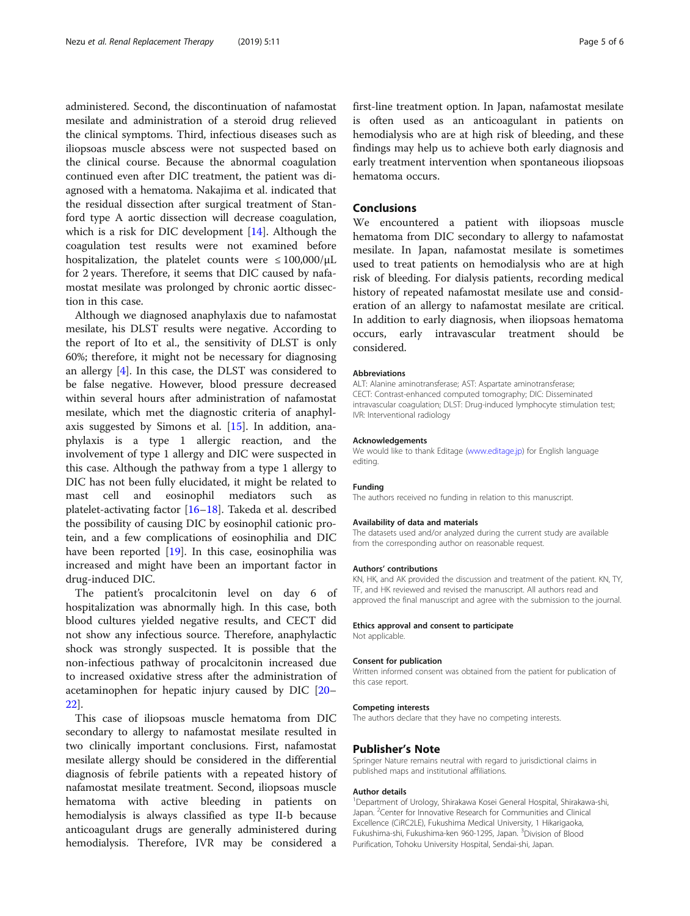administered. Second, the discontinuation of nafamostat mesilate and administration of a steroid drug relieved the clinical symptoms. Third, infectious diseases such as iliopsoas muscle abscess were not suspected based on the clinical course. Because the abnormal coagulation continued even after DIC treatment, the patient was diagnosed with a hematoma. Nakajima et al. indicated that the residual dissection after surgical treatment of Stanford type A aortic dissection will decrease coagulation, which is a risk for DIC development [[14\]](#page-5-0). Although the coagulation test results were not examined before hospitalization, the platelet counts were  $\leq 100,000/\mu L$ for 2 years. Therefore, it seems that DIC caused by nafamostat mesilate was prolonged by chronic aortic dissection in this case.

Although we diagnosed anaphylaxis due to nafamostat mesilate, his DLST results were negative. According to the report of Ito et al., the sensitivity of DLST is only 60%; therefore, it might not be necessary for diagnosing an allergy [[4\]](#page-5-0). In this case, the DLST was considered to be false negative. However, blood pressure decreased within several hours after administration of nafamostat mesilate, which met the diagnostic criteria of anaphylaxis suggested by Simons et al. [\[15\]](#page-5-0). In addition, anaphylaxis is a type 1 allergic reaction, and the involvement of type 1 allergy and DIC were suspected in this case. Although the pathway from a type 1 allergy to DIC has not been fully elucidated, it might be related to mast cell and eosinophil mediators such as platelet-activating factor [\[16](#page-5-0)–[18](#page-5-0)]. Takeda et al. described the possibility of causing DIC by eosinophil cationic protein, and a few complications of eosinophilia and DIC have been reported [\[19\]](#page-5-0). In this case, eosinophilia was increased and might have been an important factor in drug-induced DIC.

The patient's procalcitonin level on day 6 of hospitalization was abnormally high. In this case, both blood cultures yielded negative results, and CECT did not show any infectious source. Therefore, anaphylactic shock was strongly suspected. It is possible that the non-infectious pathway of procalcitonin increased due to increased oxidative stress after the administration of acetaminophen for hepatic injury caused by DIC [[20](#page-5-0)– [22\]](#page-5-0).

This case of iliopsoas muscle hematoma from DIC secondary to allergy to nafamostat mesilate resulted in two clinically important conclusions. First, nafamostat mesilate allergy should be considered in the differential diagnosis of febrile patients with a repeated history of nafamostat mesilate treatment. Second, iliopsoas muscle hematoma with active bleeding in patients on hemodialysis is always classified as type II-b because anticoagulant drugs are generally administered during hemodialysis. Therefore, IVR may be considered a

first-line treatment option. In Japan, nafamostat mesilate is often used as an anticoagulant in patients on hemodialysis who are at high risk of bleeding, and these findings may help us to achieve both early diagnosis and early treatment intervention when spontaneous iliopsoas hematoma occurs.

## Conclusions

We encountered a patient with iliopsoas muscle hematoma from DIC secondary to allergy to nafamostat mesilate. In Japan, nafamostat mesilate is sometimes used to treat patients on hemodialysis who are at high risk of bleeding. For dialysis patients, recording medical history of repeated nafamostat mesilate use and consideration of an allergy to nafamostat mesilate are critical. In addition to early diagnosis, when iliopsoas hematoma occurs, early intravascular treatment should be considered.

#### Abbreviations

ALT: Alanine aminotransferase; AST: Aspartate aminotransferase; CECT: Contrast-enhanced computed tomography; DIC: Disseminated intravascular coagulation; DLST: Drug-induced lymphocyte stimulation test; IVR: Interventional radiology

#### Acknowledgements

We would like to thank Editage [\(www.editage.jp\)](http://www.editage.jp) for English language editing.

#### Funding

The authors received no funding in relation to this manuscript.

#### Availability of data and materials

The datasets used and/or analyzed during the current study are available from the corresponding author on reasonable request.

#### Authors' contributions

KN, HK, and AK provided the discussion and treatment of the patient. KN, TY, TF, and HK reviewed and revised the manuscript. All authors read and approved the final manuscript and agree with the submission to the journal.

#### Ethics approval and consent to participate

Not applicable.

#### Consent for publication

Written informed consent was obtained from the patient for publication of this case report.

#### Competing interests

The authors declare that they have no competing interests.

### Publisher's Note

Springer Nature remains neutral with regard to jurisdictional claims in published maps and institutional affiliations.

#### Author details

<sup>1</sup>Department of Urology, Shirakawa Kosei General Hospital, Shirakawa-shi Japan. <sup>2</sup> Center for Innovative Research for Communities and Clinical Excellence (CiRC2LE), Fukushima Medical University, 1 Hikarigaoka, Fukushima-shi, Fukushima-ken 960-1295, Japan. <sup>3</sup>Division of Blood Purification, Tohoku University Hospital, Sendai-shi, Japan.